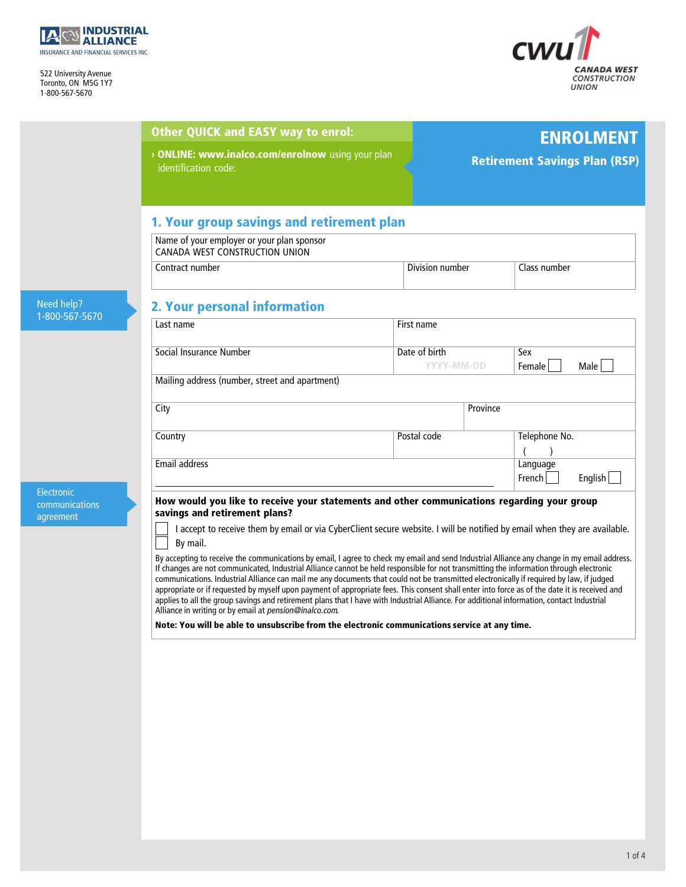

INSURANCE AND FINANCIAL SER<br>522 University Avenue<br>Toronto, ON, M5G 1Y7 522 University Avenue<br>Toronto, ON M5G 1Y7<br>1-800-567-5670 1-800-567-5670



|                                           | <b>Other QUICK and EASY way to enrol:</b>                                                                                                                                                                                                                                                                                                                                                                                                                                                                                                                                                                                                                                                                                         |                             | <b>ENROLMENT</b>                     |  |
|-------------------------------------------|-----------------------------------------------------------------------------------------------------------------------------------------------------------------------------------------------------------------------------------------------------------------------------------------------------------------------------------------------------------------------------------------------------------------------------------------------------------------------------------------------------------------------------------------------------------------------------------------------------------------------------------------------------------------------------------------------------------------------------------|-----------------------------|--------------------------------------|--|
|                                           | > ONLINE: www.inalco.com/enrolnow using your plan<br>identification code:                                                                                                                                                                                                                                                                                                                                                                                                                                                                                                                                                                                                                                                         |                             | <b>Retirement Savings Plan (RSP)</b> |  |
|                                           | 1. Your group savings and retirement plan                                                                                                                                                                                                                                                                                                                                                                                                                                                                                                                                                                                                                                                                                         |                             |                                      |  |
|                                           | Name of your employer or your plan sponsor<br>CANADA WEST CONSTRUCTION UNION                                                                                                                                                                                                                                                                                                                                                                                                                                                                                                                                                                                                                                                      |                             |                                      |  |
|                                           | Contract number                                                                                                                                                                                                                                                                                                                                                                                                                                                                                                                                                                                                                                                                                                                   | Division number             | Class number                         |  |
| Need help?                                | 2. Your personal information                                                                                                                                                                                                                                                                                                                                                                                                                                                                                                                                                                                                                                                                                                      |                             |                                      |  |
| 1-800-567-5670                            | Last name                                                                                                                                                                                                                                                                                                                                                                                                                                                                                                                                                                                                                                                                                                                         | First name                  |                                      |  |
|                                           | Social Insurance Number                                                                                                                                                                                                                                                                                                                                                                                                                                                                                                                                                                                                                                                                                                           | Date of birth<br>YYYY-MM-DD | Sex<br>Male<br>Female                |  |
|                                           | Mailing address (number, street and apartment)                                                                                                                                                                                                                                                                                                                                                                                                                                                                                                                                                                                                                                                                                    |                             |                                      |  |
|                                           | City                                                                                                                                                                                                                                                                                                                                                                                                                                                                                                                                                                                                                                                                                                                              | Province                    |                                      |  |
|                                           | Country                                                                                                                                                                                                                                                                                                                                                                                                                                                                                                                                                                                                                                                                                                                           | Postal code                 | Telephone No.                        |  |
|                                           | Email address                                                                                                                                                                                                                                                                                                                                                                                                                                                                                                                                                                                                                                                                                                                     |                             |                                      |  |
| Electronic<br>communications<br>agreement | How would you like to receive your statements and other communications regarding your group<br>savings and retirement plans?                                                                                                                                                                                                                                                                                                                                                                                                                                                                                                                                                                                                      |                             |                                      |  |
|                                           | I accept to receive them by email or via CyberClient secure website. I will be notified by email when they are available.<br>By mail.                                                                                                                                                                                                                                                                                                                                                                                                                                                                                                                                                                                             |                             |                                      |  |
|                                           | By accepting to receive the communications by email, I agree to check my email and send Industrial Alliance any change in my email address.<br>If changes are not communicated, Industrial Alliance cannot be held responsible for not transmitting the information through electronic<br>communications. Industrial Alliance can mail me any documents that could not be transmitted electronically if required by law, if judged<br>appropriate or if requested by myself upon payment of appropriate fees. This consent shall enter into force as of the date it is received and<br>applies to all the group savings and retirement plans that I have with Industrial Alliance. For additional information, contact Industrial |                             |                                      |  |

appropriate or if requested by myself upon payment of appropriate fees. This consent shall enter into force as of tl<br>applies to all the group savings and retirement plans that I have with Industrial Alliance. For additiona

1 of 4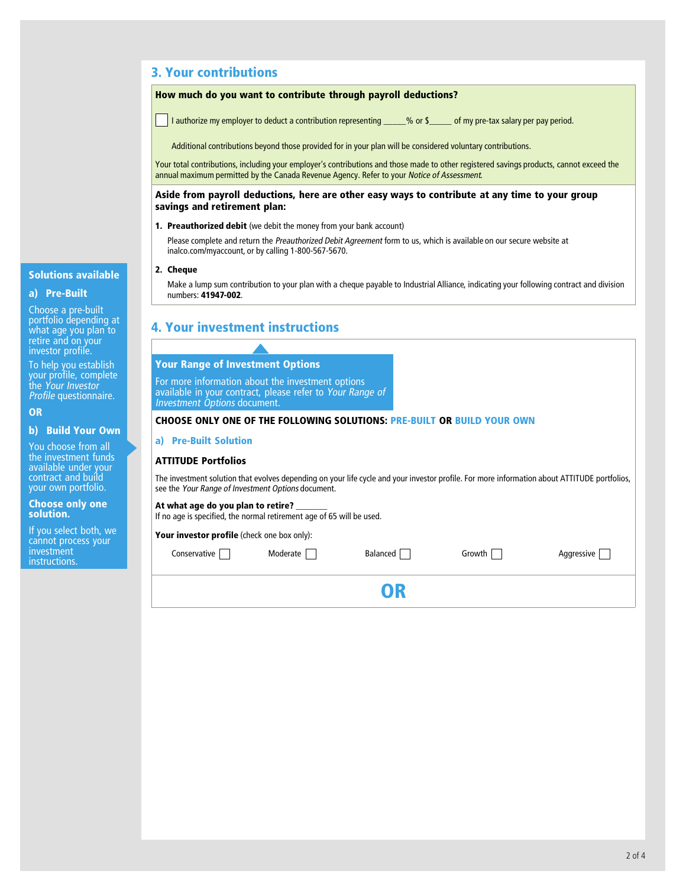## **3. Your contributions**

## **How much do you want to contribute through payroll deductions?**

I authorize my employer to deduct a contribution representing \_\_\_\_\_% or \$\_\_\_\_\_ of my pre-tax salary per pay period.

Additional contributions beyond those provided for in your plan will be considered voluntary contributions.

Additional contributions beyond those provided for in your plan will be considered voluntary contributions.<br>Your total contributions, including your employer's contributions and those made to other registered savings produ Your total contributions, including your employer's contributions and those made to other registered savings products, cannot exceed the<br>annual maximum permitted by the Canada Revenue Agency. Refer to your *Notice of Asses* 

# annual maximum permitted by the Canada Revenue Agency. Refer to your *Notice of Assessment.*<br>Aside from payroll deductions, here are other easy ways to contribute at any time to your group<br>savings and retirement plan:

**1. Preauthorized debit** (we debit the money from your bank account)

**Preauthorized debit** (we debit the money from your bank account)<br>Please complete and return the *Preauthorized Debit Agreement* form to us, which is available on our secure website at<br>inalco com/myaccount, or by calling 1 **Preauthorized debit** (we debit the money from your<br>Please complete and return the *Preauthorized Debit Ag*<br>inalco.com/myaccount, or by calling 1-800-567-5670. inalco.com/myaccount, or by calling 1-800-567-5670.<br>**2. Cheque** 

Make a lump sum contribution to your plan with a cheque payable to Industrial Alliance, indicating your following contract and division numbers: **41947-002**.

## **4. Your investment instructions**

# **Your Range of Investment Options Your Range of Investment Options**<br>For more information about the investment options<br>available in your contract, please refer to Your Range **Your Range of Investment Options**<br>For more information about the investment options<br>available in your contract, please refer to *Your Range of*<br>*Investment Options* document. For more information about the i<br>available in your contract, please<br>*Investment Options* document. **CHOOSE ONLY CONTACT, PRESE TERR TO YOUT NATIGE OF SUIT 1.**<br>Investment Options document.<br>CHOOSE ONLY ONE OF THE FOLLOWING SOLUTIONS: PRE-BUILT OR BUILD YOUR OWN **b) Build Your Own a) Pre-Built Solution ATTITUDE Portfolios ATTITUDE Portfolios**<br>The investment solution that evolves depending on your life cycle and your investor profile. For more information about ATTITUDE portfolios,<br>see the *Your Range of Investment Options* document see the *Your Range of Investment Options* document. see the *Your Range of Investment Options* document.<br>At what age do you plan to retire? If what age do you plan to retire?<br>**At what age do you plan to retire?**<br>If no age is specified, the normal retirement age of 65 will be used. If no age is specified, the normal retiremen<del>t</del> age<br>**Your investor profile** (check one box only):  $\Box$  Moderate  $\Box$  Balanced  $\Box$  Growth Aggressive  $\Box$ **OR**

# **Solutions available** ا**solutions avail**<br>a) Pre-Built<br>مان

**a) Pre-Built**<br>Choose a pre-built<br>portfolio depending at<br>what age you plan to<br>retire and on your Choose a pre-bunt<br>portfolio depending<br>what age you plan ti<br>retire and on your<br>investor profile. portiono dependin<br>what age you plai<br>retire and on youi<br>investor profile. retire and on your<br>investor profile.<br>To help you establish<br>your profile, complete

investor profile.<br>To help you establish<br>your profile, complete<br>the Your Investor To help you establish *Profile* questionnaire.

## **OR**

**b) Build Your Owr**<br>You choose from all<br>the investment funds **b) Build Your Own**<br>You choose from all<br>the investment funds<br>available under your You choose from all<br>the investment funds<br>available under your<br>contract and build<br>your own portfolio. The investment runds<br>available under your<br>contract and build<br>your own portfolio. **Choose only one** 

# **solution.**

**Choose only one<br>solution.**<br>If you select both, we<br>cannot process your **solution.**<br>If you select both, we<br>cannot process your<br>investment investment **instructions**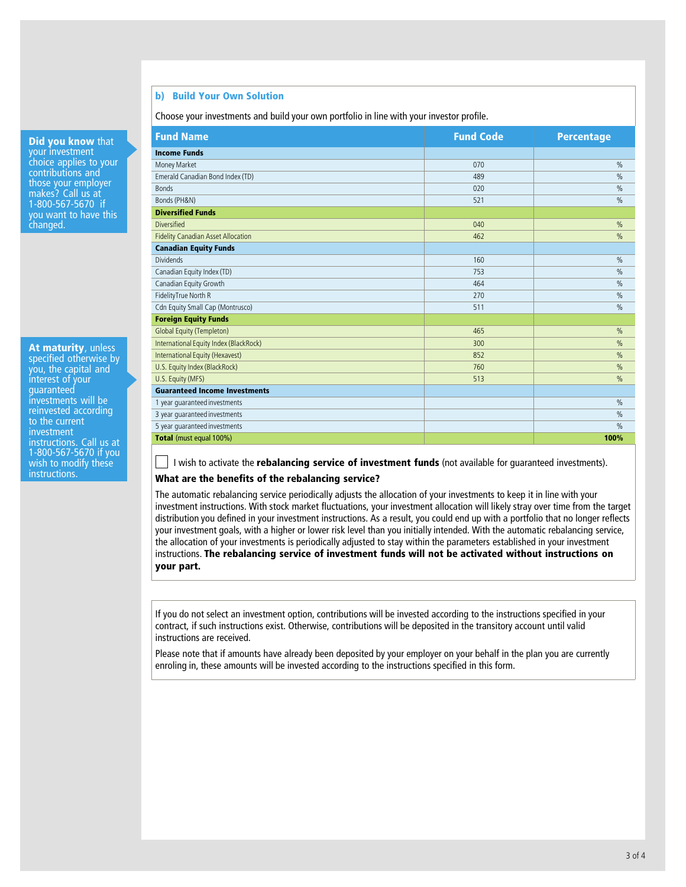## **b) Build Your Own Solution**

b) Build Your Own Solution<br>Choose your investments and build your own portfolio in line with your investor profile.

**Did you know** that<br>**your investment Did you know** th<br>your investment<br>choice applies to v **Did you know** that<br>your investment<br>choice applies to your<br>contributions and **COM YOU WHOW THAT**<br>choice applies to your<br>contributions and<br>those your emplover your investment<br>choice applies to your<br>contributions and<br>those your employer<br>makes? Call us at choice applies to you<br>contributions and<br>those your employer<br>makes? Call us at<br>1-800-567-5670 if contributions and<br>those your employer<br>makes? Call us at<br>1-800-567-5670 if<br>you want to have this moxe you chipyyer<br>makes? Call us at<br>1-800-567-5670 if<br>you want to have this<br>changed. you want to have this changed.

Ī

**At maturity**, unless **At maturity**, unless<br>specified otherwise by<br>you, the capital and **At maturity**, unless<br>specified otherwise by<br>you, the capital and<br>interest of your **At maturity**, and<br>specified otherwis<br>you, the capital and<br>interest of your<br>quaranteed interest of your<br>quaranteed you, the capital and<br>interest of your<br>guaranteed<br>investments will be<br>reinvested according ricurest on<br>investments will be<br>invested according<br>to the current guaranteed<br>investments will<br>reinvested accor<br>to the current<br>investment investment<br>instructions. Call us at instructure<br>to the current<br>investment<br>instructions. Call us at<br>1-800-567-5670 if you to the cantent<br>instructions. Call us at<br>1-800-567-5670 if you<br>wish to modify these mesunem<br>instructions. Call us at<br>1-800-567-5670 if you<br>wish to modify these<br>instructions. instructions.

| <b>Fund Name</b>                          | <b>Fund Code</b> | <b>Percentage</b> |
|-------------------------------------------|------------------|-------------------|
| <b>Income Funds</b>                       |                  |                   |
| Money Market                              | 070              | $\frac{0}{0}$     |
| Emerald Canadian Bond Index (TD)          | 489              | $\%$              |
| <b>Bonds</b>                              | 020              | $\frac{0}{0}$     |
| Bonds (PH&N)                              | 521              | $\frac{0}{0}$     |
| <b>Diversified Funds</b>                  |                  |                   |
| <b>Diversified</b>                        | 040              | $\%$              |
| <b>Fidelity Canadian Asset Allocation</b> | 462              | %                 |
| <b>Canadian Equity Funds</b>              |                  |                   |
| <b>Dividends</b>                          | 160              | $\frac{0}{0}$     |
| Canadian Equity Index (TD)                | 753              | $\frac{0}{0}$     |
| Canadian Equity Growth                    | 464              | $\frac{0}{0}$     |
| FidelityTrue North R                      | 270              | $\%$              |
| Cdn Equity Small Cap (Montrusco)          | 511              | $\frac{0}{0}$     |
| <b>Foreign Equity Funds</b>               |                  |                   |
| <b>Global Equity (Templeton)</b>          | 465              | $\frac{0}{0}$     |
| International Equity Index (BlackRock)    | 300              | $\frac{0}{0}$     |
| International Equity (Hexavest)           | 852              | %                 |
| U.S. Equity Index (BlackRock)             | 760              | $\frac{0}{0}$     |
| U.S. Equity (MFS)                         | 513              | $\frac{0}{0}$     |
| <b>Guaranteed Income Investments</b>      |                  |                   |
| 1 year quaranteed investments             |                  | $\frac{0}{0}$     |
| 3 year quaranteed investments             |                  | $\%$              |
| 5 year quaranteed investments             |                  | $\frac{0}{0}$     |
| Total (must equal 100%)                   |                  | 100%              |

I wish to activate the **rebalancing service of investment funds** (not available for guaranteed investments). **What are the benefits of the rebalancing service of investm**<br>What are the benefits of the rebalancing service?

The automatic rebalancing service periodically adjusts the allocation of your investments to keep it in line with your investment instructions. With stock market fluctuations, your investment allocation will likely stray o what are the benefits of the rebalancing service?<br>The automatic rebalancing service periodically adjusts the allocation of your investments to keep it in line with your<br>investment instructions. With stock market fluctuatio The automatic rebalancing service periodically adjusts the allocation of your investments to keep it in line with your<br>investment instructions. With stock market fluctuations, your investment allocation will likely stray o investment instructions. With stock market fluctuations, your investment allocation will likely stray over time from the target<br>distribution you defined in your investment instructions. As a result, you could end up with a your investment goals, with a higher or lower risk level than you initially intended. With the automatic rebalancing service, the allocation of your investments is periodically adjusted to stay within the parameters establ your investment goals, with a higher or lower risk level than you initially intended. With the automatic rebalancing service,<br>the allocation of your investments is periodically adjusted to stay within the parameters establ the allocation<br>instructions. **T**<br>your part.

If you do not select an investment option, contributions will be invested according to the instructions specified in your If you do not select an investment option, contributions will be invested according to the instructions specified in you<br>contract, if such instructions exist. Otherwise, contributions will be deposited in the transitory ac If you do not select an inve<br>contract, if such instruction<br>instructions are received.

contract, if such instructions exist. Otherwise, contributions will be deposited in the transitory account until valid<br>instructions are received.<br>Please note that if amounts have already been deposited by your employer on instructions are received.<br>Please note that if amounts have already been deposited by your employer on your behalf in t<br>enroling in, these amounts will be invested according to the instructions specified in this form.